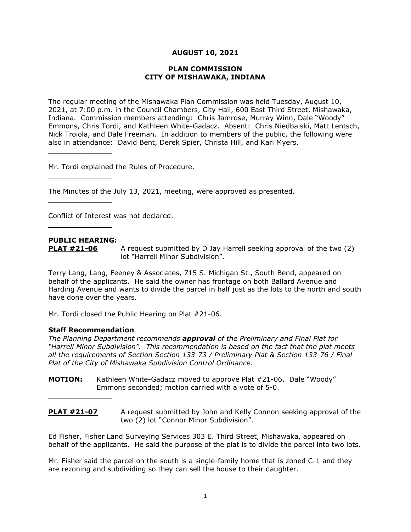# **AUGUST 10, 2021**

#### **PLAN COMMISSION CITY OF MISHAWAKA, INDIANA**

The regular meeting of the Mishawaka Plan Commission was held Tuesday, August 10, 2021, at 7:00 p.m. in the Council Chambers, City Hall, 600 East Third Street, Mishawaka, Indiana. Commission members attending: Chris Jamrose, Murray Winn, Dale "Woody" Emmons, Chris Tordi, and Kathleen White-Gadacz. Absent: Chris Niedbalski, Matt Lentsch, Nick Troiola, and Dale Freeman. In addition to members of the public, the following were also in attendance: David Bent, Derek Spier, Christa Hill, and Kari Myers.

Mr. Tordi explained the Rules of Procedure.

The Minutes of the July 13, 2021, meeting, were approved as presented.

Conflict of Interest was not declared.

# **PUBLIC HEARING:**

 $\overline{\phantom{a}}$  , where  $\overline{\phantom{a}}$  , where  $\overline{\phantom{a}}$ 

 $\overline{\phantom{a}}$  , where  $\overline{\phantom{a}}$  , where  $\overline{\phantom{a}}$ 

 $\overline{\phantom{a}}$  , where  $\overline{\phantom{a}}$ 

 $\overline{\phantom{a}}$  , where  $\overline{\phantom{a}}$  , where  $\overline{\phantom{a}}$ 

**PLAT #21-06** A request submitted by D Jay Harrell seeking approval of the two (2) lot "Harrell Minor Subdivision".

Terry Lang, Lang, Feeney & Associates, 715 S. Michigan St., South Bend, appeared on behalf of the applicants. He said the owner has frontage on both Ballard Avenue and Harding Avenue and wants to divide the parcel in half just as the lots to the north and south have done over the years.

Mr. Tordi closed the Public Hearing on Plat #21-06.

#### **Staff Recommendation**

 $\overline{\phantom{a}}$  , where  $\overline{\phantom{a}}$ 

*The Planning Department recommends approval of the Preliminary and Final Plat for "Harrell Minor Subdivision". This recommendation is based on the fact that the plat meets all the requirements of Section Section 133-73 / Preliminary Plat & Section 133-76 / Final Plat of the City of Mishawaka Subdivision Control Ordinance.*

**MOTION:** Kathleen White-Gadacz moved to approve Plat #21-06. Dale "Woody" Emmons seconded; motion carried with a vote of 5-0.

**PLAT #21-07** A request submitted by John and Kelly Connon seeking approval of the two (2) lot "Connor Minor Subdivision".

Ed Fisher, Fisher Land Surveying Services 303 E. Third Street, Mishawaka, appeared on behalf of the applicants. He said the purpose of the plat is to divide the parcel into two lots.

Mr. Fisher said the parcel on the south is a single-family home that is zoned C-1 and they are rezoning and subdividing so they can sell the house to their daughter.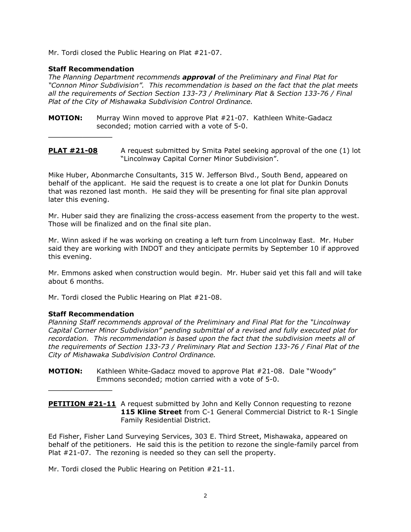Mr. Tordi closed the Public Hearing on Plat #21-07.

## **Staff Recommendation**

 $\overline{\phantom{a}}$  , where  $\overline{\phantom{a}}$  , where  $\overline{\phantom{a}}$ 

*The Planning Department recommends approval of the Preliminary and Final Plat for "Connon Minor Subdivision". This recommendation is based on the fact that the plat meets all the requirements of Section Section 133-73 / Preliminary Plat & Section 133-76 / Final Plat of the City of Mishawaka Subdivision Control Ordinance.*

- **MOTION:** Murray Winn moved to approve Plat #21-07. Kathleen White-Gadacz seconded; motion carried with a vote of 5-0.
- **PLAT #21-08** A request submitted by Smita Patel seeking approval of the one (1) lot "Lincolnway Capital Corner Minor Subdivision".

Mike Huber, Abonmarche Consultants, 315 W. Jefferson Blvd., South Bend, appeared on behalf of the applicant. He said the request is to create a one lot plat for Dunkin Donuts that was rezoned last month. He said they will be presenting for final site plan approval later this evening.

Mr. Huber said they are finalizing the cross-access easement from the property to the west. Those will be finalized and on the final site plan.

Mr. Winn asked if he was working on creating a left turn from Lincolnway East. Mr. Huber said they are working with INDOT and they anticipate permits by September 10 if approved this evening.

Mr. Emmons asked when construction would begin. Mr. Huber said yet this fall and will take about 6 months.

Mr. Tordi closed the Public Hearing on Plat #21-08.

# **Staff Recommendation**

 $\overline{\phantom{a}}$  , where  $\overline{\phantom{a}}$  , where  $\overline{\phantom{a}}$ 

*Planning Staff recommends approval of the Preliminary and Final Plat for the "Lincolnway Capital Corner Minor Subdivision" pending submittal of a revised and fully executed plat for recordation. This recommendation is based upon the fact that the subdivision meets all of the requirements of Section 133-73 / Preliminary Plat and Section 133-76 / Final Plat of the City of Mishawaka Subdivision Control Ordinance.*

**MOTION:** Kathleen White-Gadacz moved to approve Plat #21-08. Dale "Woody" Emmons seconded; motion carried with a vote of 5-0.

**PETITION #21-11** A request submitted by John and Kelly Connon requesting to rezone **115 Kline Street** from C-1 General Commercial District to R-1 Single Family Residential District.

Ed Fisher, Fisher Land Surveying Services, 303 E. Third Street, Mishawaka, appeared on behalf of the petitioners. He said this is the petition to rezone the single-family parcel from Plat #21-07. The rezoning is needed so they can sell the property.

Mr. Tordi closed the Public Hearing on Petition #21-11.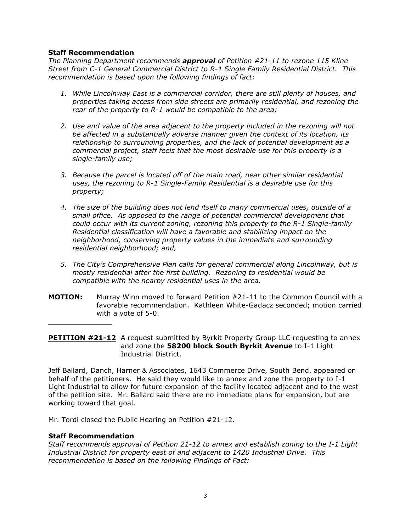# **Staff Recommendation**

*The Planning Department recommends approval of Petition #21-11 to rezone 115 Kline Street from C-1 General Commercial District to R-1 Single Family Residential District. This recommendation is based upon the following findings of fact:*

- *1. While Lincolnway East is a commercial corridor, there are still plenty of houses, and properties taking access from side streets are primarily residential, and rezoning the rear of the property to R-1 would be compatible to the area;*
- *2. Use and value of the area adjacent to the property included in the rezoning will not be affected in a substantially adverse manner given the context of its location, its relationship to surrounding properties, and the lack of potential development as a commercial project, staff feels that the most desirable use for this property is a single-family use;*
- *3. Because the parcel is located off of the main road, near other similar residential uses, the rezoning to R-1 Single-Family Residential is a desirable use for this property;*
- *4. The size of the building does not lend itself to many commercial uses, outside of a small office. As opposed to the range of potential commercial development that could occur with its current zoning, rezoning this property to the R-1 Single-family Residential classification will have a favorable and stabilizing impact on the neighborhood, conserving property values in the immediate and surrounding residential neighborhood; and,*
- *5. The City's Comprehensive Plan calls for general commercial along Lincolnway, but is mostly residential after the first building. Rezoning to residential would be compatible with the nearby residential uses in the area.*
- **MOTION:** Murray Winn moved to forward Petition #21-11 to the Common Council with a favorable recommendation. Kathleen White-Gadacz seconded; motion carried with a vote of 5-0.

**PETITION #21-12** A request submitted by Byrkit Property Group LLC requesting to annex and zone the **58200 block South Byrkit Avenue** to I-1 Light Industrial District.

Jeff Ballard, Danch, Harner & Associates, 1643 Commerce Drive, South Bend, appeared on behalf of the petitioners. He said they would like to annex and zone the property to I-1 Light Industrial to allow for future expansion of the facility located adjacent and to the west of the petition site. Mr. Ballard said there are no immediate plans for expansion, but are working toward that goal.

Mr. Tordi closed the Public Hearing on Petition #21-12.

# **Staff Recommendation**

 $\overline{\phantom{a}}$  , where  $\overline{\phantom{a}}$  , where  $\overline{\phantom{a}}$ 

*Staff recommends approval of Petition 21-12 to annex and establish zoning to the I-1 Light Industrial District for property east of and adjacent to 1420 Industrial Drive. This recommendation is based on the following Findings of Fact:*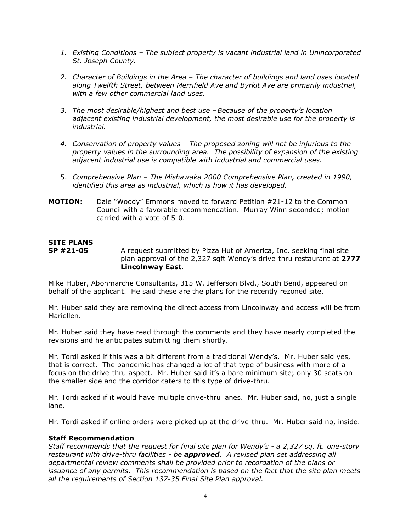- *1. Existing Conditions – The subject property is vacant industrial land in Unincorporated St. Joseph County.*
- *2. Character of Buildings in the Area – The character of buildings and land uses located along Twelfth Street, between Merrifield Ave and Byrkit Ave are primarily industrial, with a few other commercial land uses.*
- *3. The most desirable/highest and best use –Because of the property's location adjacent existing industrial development, the most desirable use for the property is industrial.*
- *4. Conservation of property values – The proposed zoning will not be injurious to the property values in the surrounding area. The possibility of expansion of the existing adjacent industrial use is compatible with industrial and commercial uses.*
- 5. *Comprehensive Plan – The Mishawaka 2000 Comprehensive Plan, created in 1990, identified this area as industrial, which is how it has developed.*

#### **MOTION:** Dale "Woody" Emmons moved to forward Petition #21-12 to the Common Council with a favorable recommendation. Murray Winn seconded; motion carried with a vote of 5-0.

# **SITE PLANS**

 $\overline{\phantom{a}}$  , where  $\overline{\phantom{a}}$ 

**SP #21-05** A request submitted by Pizza Hut of America, Inc. seeking final site plan approval of the 2,327 sqft Wendy's drive-thru restaurant at **2777 Lincolnway East**.

Mike Huber, Abonmarche Consultants, 315 W. Jefferson Blvd., South Bend, appeared on behalf of the applicant. He said these are the plans for the recently rezoned site.

Mr. Huber said they are removing the direct access from Lincolnway and access will be from Mariellen.

Mr. Huber said they have read through the comments and they have nearly completed the revisions and he anticipates submitting them shortly.

Mr. Tordi asked if this was a bit different from a traditional Wendy's. Mr. Huber said yes, that is correct. The pandemic has changed a lot of that type of business with more of a focus on the drive-thru aspect. Mr. Huber said it's a bare minimum site; only 30 seats on the smaller side and the corridor caters to this type of drive-thru.

Mr. Tordi asked if it would have multiple drive-thru lanes. Mr. Huber said, no, just a single lane.

Mr. Tordi asked if online orders were picked up at the drive-thru. Mr. Huber said no, inside.

# **Staff Recommendation**

*Staff recommends that the request for final site plan for Wendy's - a 2,327 sq. ft. one-story restaurant with drive-thru facilities - be approved. A revised plan set addressing all departmental review comments shall be provided prior to recordation of the plans or issuance of any permits. This recommendation is based on the fact that the site plan meets all the requirements of Section 137-35 Final Site Plan approval.*